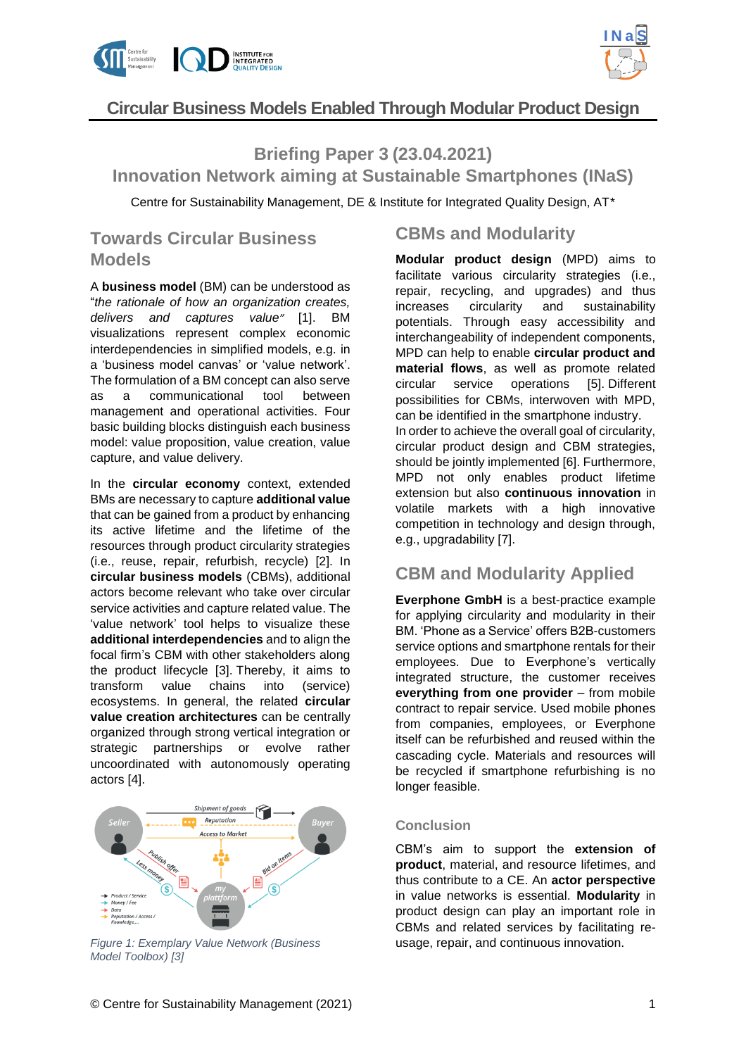



# **Circular Business Models Enabled Through Modular Product Design**

### **Briefing Paper 3 (23.04.2021)**

**Innovation Network aiming at Sustainable Smartphones (INaS)**

Centre for Sustainability Management, DE & Institute for Integrated Quality Design, AT\*

# **Towards Circular Business Models**

A **business model** (BM) can be understood as "*the rationale of how an organization creates, delivers and captures value"* [1]. BM visualizations represent complex economic interdependencies in simplified models, e.g. in a 'business model canvas' or 'value network'. The formulation of a BM concept can also serve as a communicational tool between management and operational activities. Four basic building blocks distinguish each business model: value proposition, value creation, value capture, and value delivery.

In the **circular economy** context, extended BMs are necessary to capture **additional value** that can be gained from a product by enhancing its active lifetime and the lifetime of the resources through product circularity strategies (i.e., reuse, repair, refurbish, recycle) [2]. In **circular business models** (CBMs), additional actors become relevant who take over circular service activities and capture related value. The 'value network' tool helps to visualize these **additional interdependencies** and to align the focal firm's CBM with other stakeholders along the product lifecycle [3]. Thereby, it aims to transform value chains into (service) ecosystems. In general, the related **circular value creation architectures** can be centrally organized through strong vertical integration or strategic partnerships or evolve rather uncoordinated with autonomously operating actors [4].



*Figure 1: Exemplary Value Network (Business Model Toolbox) [3]*

## **CBMs and Modularity**

**Modular product design** (MPD) aims to facilitate various circularity strategies (i.e., repair, recycling, and upgrades) and thus increases circularity and sustainability potentials. Through easy accessibility and interchangeability of independent components, MPD can help to enable **circular product and material flows**, as well as promote related circular service operations [5]. Different possibilities for CBMs, interwoven with MPD, can be identified in the smartphone industry. In order to achieve the overall goal of circularity, circular product design and CBM strategies, should be jointly implemented [6]. Furthermore, MPD not only enables product lifetime extension but also **continuous innovation** in volatile markets with a high innovative competition in technology and design through, e.g., upgradability [7].

## **CBM and Modularity Applied**

**Everphone GmbH** is a best-practice example for applying circularity and modularity in their BM. 'Phone as a Service' offers B2B-customers service options and smartphone rentals for their employees. Due to Everphone's vertically integrated structure, the customer receives **everything from one provider** – from mobile contract to repair service. Used mobile phones from companies, employees, or Everphone itself can be refurbished and reused within the cascading cycle. Materials and resources will be recycled if smartphone refurbishing is no longer feasible.

#### **Conclusion**

CBM's aim to support the **extension of product**, material, and resource lifetimes, and thus contribute to a CE. An **actor perspective** in value networks is essential. **Modularity** in product design can play an important role in CBMs and related services by facilitating reusage, repair, and continuous innovation.